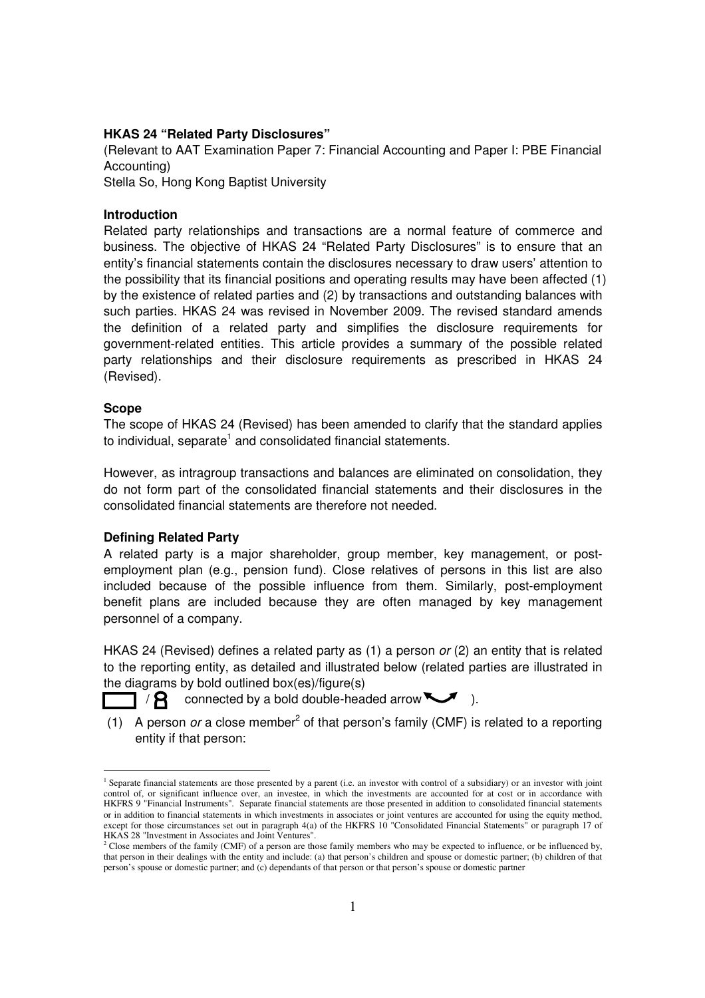#### **HKAS 24 "Related Party Disclosures"**

(Relevant to AAT Examination Paper 7: Financial Accounting and Paper I: PBE Financial Accounting)

Stella So, Hong Kong Baptist University

## **Introduction**

Related party relationships and transactions are a normal feature of commerce and business. The objective of HKAS 24 "Related Party Disclosures" is to ensure that an entity's financial statements contain the disclosures necessary to draw users' attention to the possibility that its financial positions and operating results may have been affected (1) by the existence of related parties and (2) by transactions and outstanding balances with such parties. HKAS 24 was revised in November 2009. The revised standard amends the definition of a related party and simplifies the disclosure requirements for government-related entities. This article provides a summary of the possible related party relationships and their disclosure requirements as prescribed in HKAS 24 (Revised).

#### **Scope**

l

The scope of HKAS 24 (Revised) has been amended to clarify that the standard applies to individual, separate<sup>1</sup> and consolidated financial statements.

However, as intragroup transactions and balances are eliminated on consolidation, they do not form part of the consolidated financial statements and their disclosures in the consolidated financial statements are therefore not needed.

## **Defining Related Party**

A related party is a major shareholder, group member, key management, or postemployment plan (e.g., pension fund). Close relatives of persons in this list are also included because of the possible influence from them. Similarly, post-employment benefit plans are included because they are often managed by key management personnel of a company.

HKAS 24 (Revised) defines a related party as (1) a person or (2) an entity that is related to the reporting entity, as detailed and illustrated below (related parties are illustrated in the diagrams by bold outlined box(es)/figure(s)

 $\Box$  /  $\Box$  connected by a bold double-headed arrow  $\Box$ .

(1) A person or a close member<sup>2</sup> of that person's family (CMF) is related to a reporting entity if that person:

<sup>&</sup>lt;sup>1</sup> Separate financial statements are those presented by a parent (i.e. an investor with control of a subsidiary) or an investor with joint control of, or significant influence over, an investee, in which the investments are accounted for at cost or in accordance with HKFRS 9 "Financial Instruments". Separate financial statements are those presented in addition to consolidated financial statements or in addition to financial statements in which investments in associates or joint ventures are accounted for using the equity method, except for those circumstances set out in paragraph 4(a) of the HKFRS 10 "Consolidated Financial Statements" or paragraph 17 of HKAS 28 "Investment in Associates and Joint Ventures".

<sup>&</sup>lt;sup>2</sup> Close members of the family (CMF) of a person are those family members who may be expected to influence, or be influenced by, that person in their dealings with the entity and include: (a) that person's children and spouse or domestic partner; (b) children of that person's spouse or domestic partner; and (c) dependants of that person or that person's spouse or domestic partner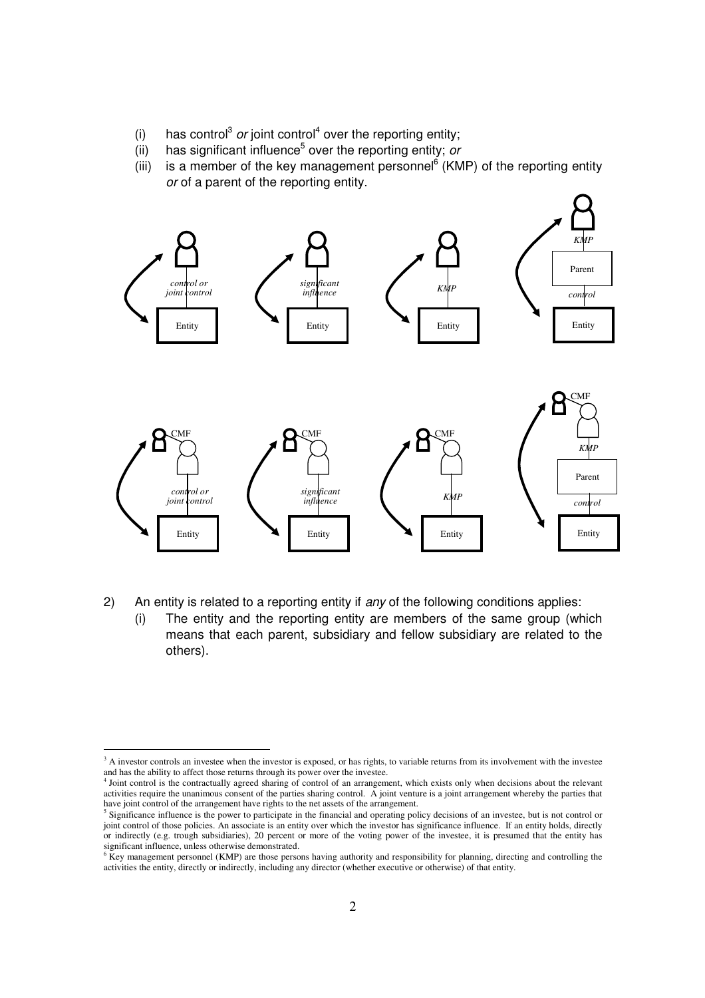- (i) has control<sup>3</sup> or joint control<sup>4</sup> over the reporting entity;
- (ii) has significant influence<sup>5</sup> over the reporting entity; or
	- (iii) is a member of the key management personnel $6$  (KMP) of the reporting entity or of a parent of the reporting entity.



- 2) An entity is related to a reporting entity if any of the following conditions applies:
	- (i) The entity and the reporting entity are members of the same group (which means that each parent, subsidiary and fellow subsidiary are related to the others).

<sup>&</sup>lt;sup>3</sup> A investor controls an investee when the investor is exposed, or has rights, to variable returns from its involvement with the investee and has the ability to affect those returns through its power over the investee.

<sup>4</sup> Joint control is the contractually agreed sharing of control of an arrangement, which exists only when decisions about the relevant activities require the unanimous consent of the parties sharing control. A joint venture is a joint arrangement whereby the parties that have joint control of the arrangement have rights to the net assets of the arrangement.

<sup>&</sup>lt;sup>5</sup> Significance influence is the power to participate in the financial and operating policy decisions of an investee, but is not control or joint control of those policies. An associate is an entity over which the investor has significance influence. If an entity holds, directly or indirectly (e.g. trough subsidiaries), 20 percent or more of the voting power of the investee, it is presumed that the entity has significant influence, unless otherwise demonstrated.<br><sup>6</sup> Key management personnel (KMP) are those persons having authority and responsibility for planning, directing and controlling the

activities the entity, directly or indirectly, including any director (whether executive or otherwise) of that entity.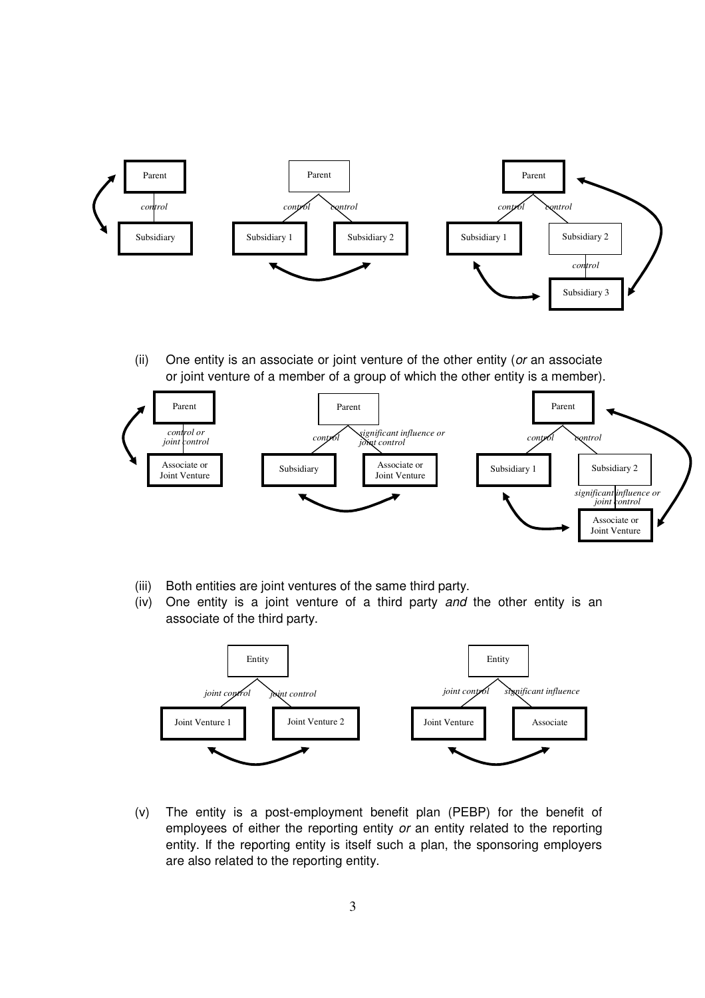

(ii) One entity is an associate or joint venture of the other entity (or an associate or joint venture of a member of a group of which the other entity is a member).



- (iii) Both entities are joint ventures of the same third party.
- (iv) One entity is a joint venture of a third party and the other entity is an associate of the third party.



(v) The entity is a post-employment benefit plan (PEBP) for the benefit of employees of either the reporting entity or an entity related to the reporting entity. If the reporting entity is itself such a plan, the sponsoring employers are also related to the reporting entity.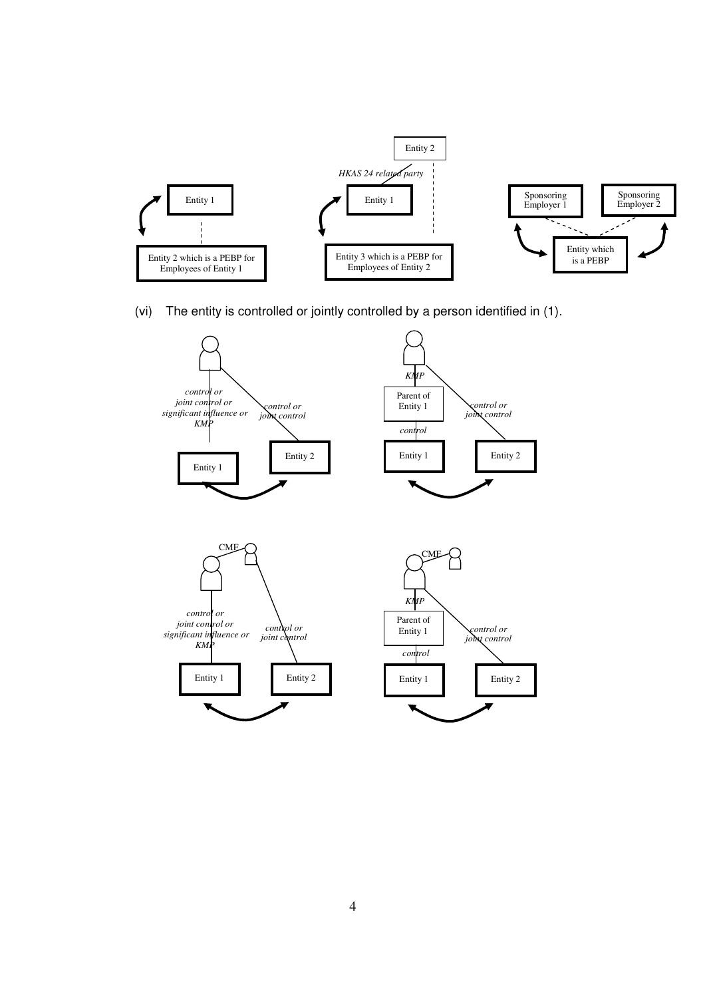

(vi) The entity is controlled or jointly controlled by a person identified in (1).

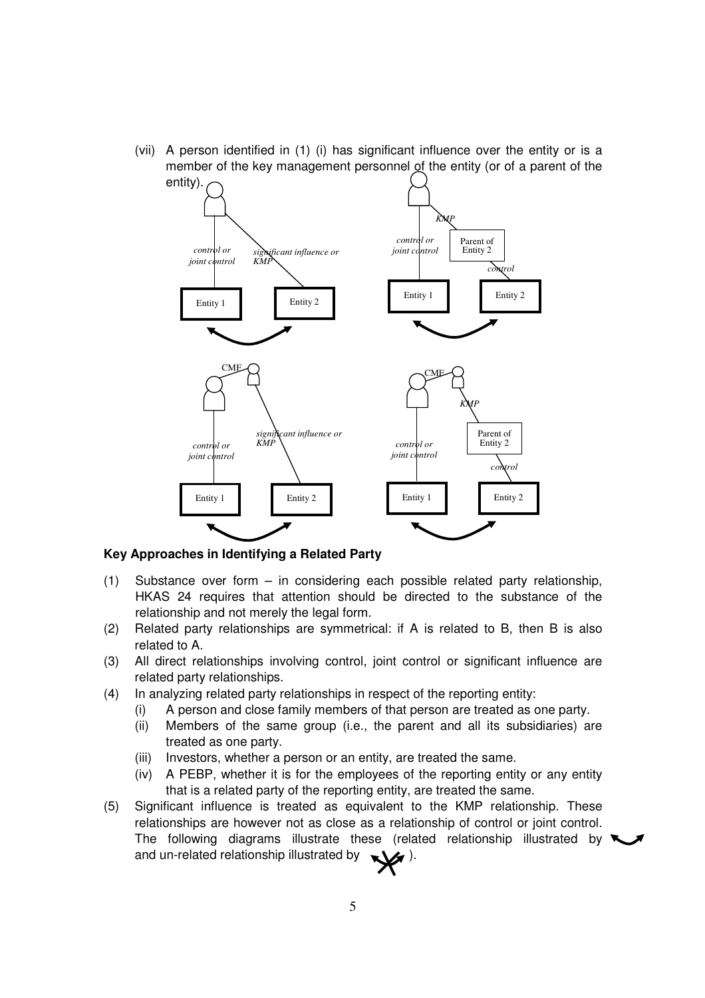(vii) A person identified in (1) (i) has significant influence over the entity or is a member of the key management personnel of the entity (or of a parent of the



## **Key Approaches in Identifying a Related Party**

- (1)Substance over form in considering each possible related party relationship, HKAS 24 requires that attention should be directed to the substance of the relationship and not merely the legal form.
- (2) Related party relationships are symmetrical: if A is related to B, then B is also related to A.
- (3) All direct relationships involving control, joint control or significant influence are related party relationships.
- (4) In analyzing related party relationships in respect of the reporting entity:
	- (i) A person and close family members of that person are treated as one party.
	- (ii) Members of the same group (i.e., the parent and all its subsidiaries) are treated as one party.
	- (iii) Investors, whether a person or an entity, are treated the same.
	- (iv) A PEBP, whether it is for the employees of the reporting entity or any entity that is a related party of the reporting entity, are treated the same.
- (5) Significant influence is treated as equivalent to the KMP relationship. These relationships are however not as close as a relationship of control or joint control. The following diagrams illustrate these (related relationship illustrated by  $\blacktriangleright$ and un-related relationship illustrated by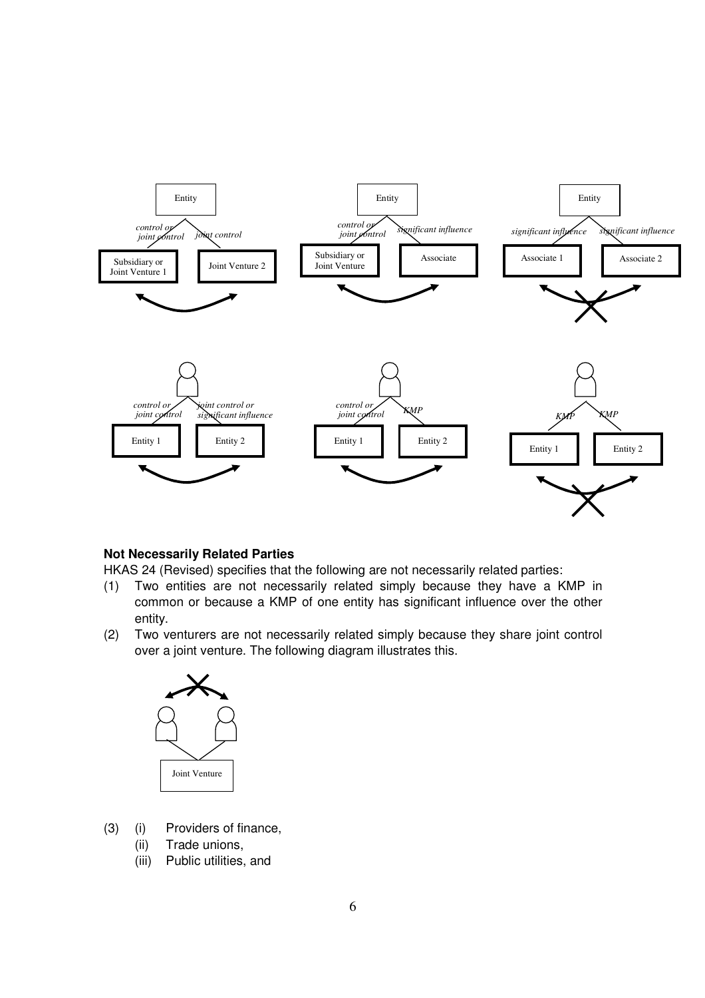

## **Not Necessarily Related Parties**

HKAS 24 (Revised) specifies that the following are not necessarily related parties:

- (1) Two entities are not necessarily related simply because they have a KMP in common or because a KMP of one entity has significant influence over the other entity.
- (2) Two venturers are not necessarily related simply because they share joint control over a joint venture. The following diagram illustrates this.



- (3) (i) Providers of finance,
	- (ii) Trade unions,
	- (iii) Public utilities, and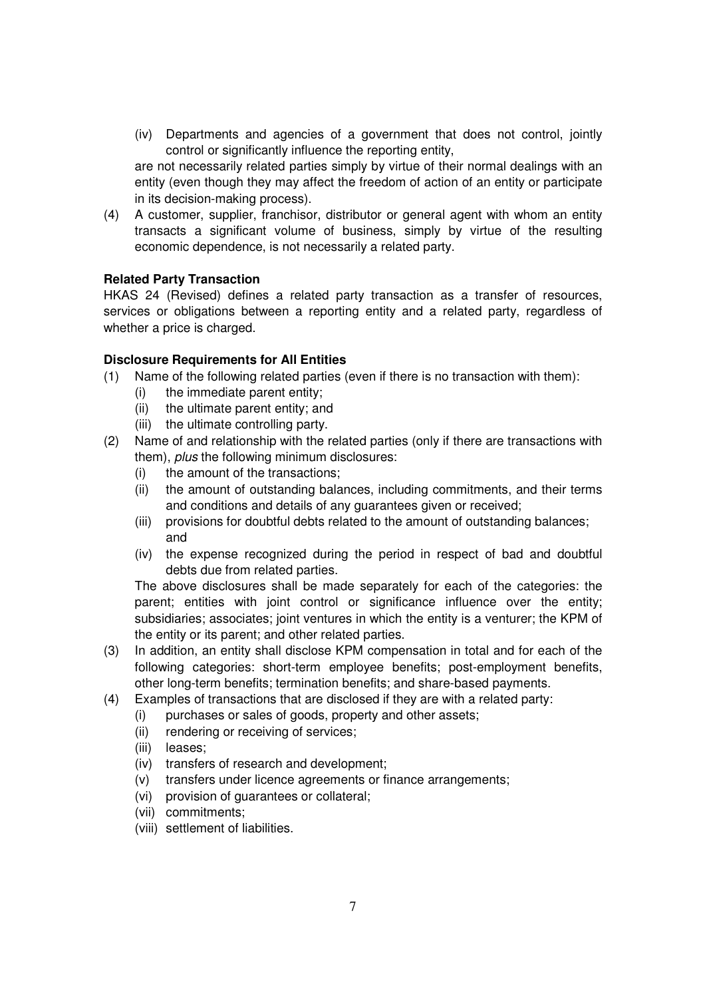(iv) Departments and agencies of a government that does not control, jointly control or significantly influence the reporting entity,

are not necessarily related parties simply by virtue of their normal dealings with an entity (even though they may affect the freedom of action of an entity or participate in its decision-making process).

(4) A customer, supplier, franchisor, distributor or general agent with whom an entity transacts a significant volume of business, simply by virtue of the resulting economic dependence, is not necessarily a related party.

# **Related Party Transaction**

HKAS 24 (Revised) defines a related party transaction as a transfer of resources, services or obligations between a reporting entity and a related party, regardless of whether a price is charged.

## **Disclosure Requirements for All Entities**

- (1) Name of the following related parties (even if there is no transaction with them):
	- (i) the immediate parent entity;
	- (ii) the ultimate parent entity; and
	- (iii) the ultimate controlling party.
- (2) Name of and relationship with the related parties (only if there are transactions with them), *plus* the following minimum disclosures:
	- (i) the amount of the transactions;
	- (ii) the amount of outstanding balances, including commitments, and their terms and conditions and details of any guarantees given or received;
	- (iii) provisions for doubtful debts related to the amount of outstanding balances; and
	- (iv) the expense recognized during the period in respect of bad and doubtful debts due from related parties.

The above disclosures shall be made separately for each of the categories: the parent; entities with joint control or significance influence over the entity; subsidiaries; associates; joint ventures in which the entity is a venturer; the KPM of the entity or its parent; and other related parties.

- (3) In addition, an entity shall disclose KPM compensation in total and for each of the following categories: short-term employee benefits; post-employment benefits, other long-term benefits; termination benefits; and share-based payments.
- (4) Examples of transactions that are disclosed if they are with a related party:
	- (i) purchases or sales of goods, property and other assets;
	- (ii) rendering or receiving of services;
	- (iii) leases;
	- (iv) transfers of research and development;
	- (v) transfers under licence agreements or finance arrangements;
	- (vi) provision of guarantees or collateral;
	- (vii) commitments;
	- (viii) settlement of liabilities.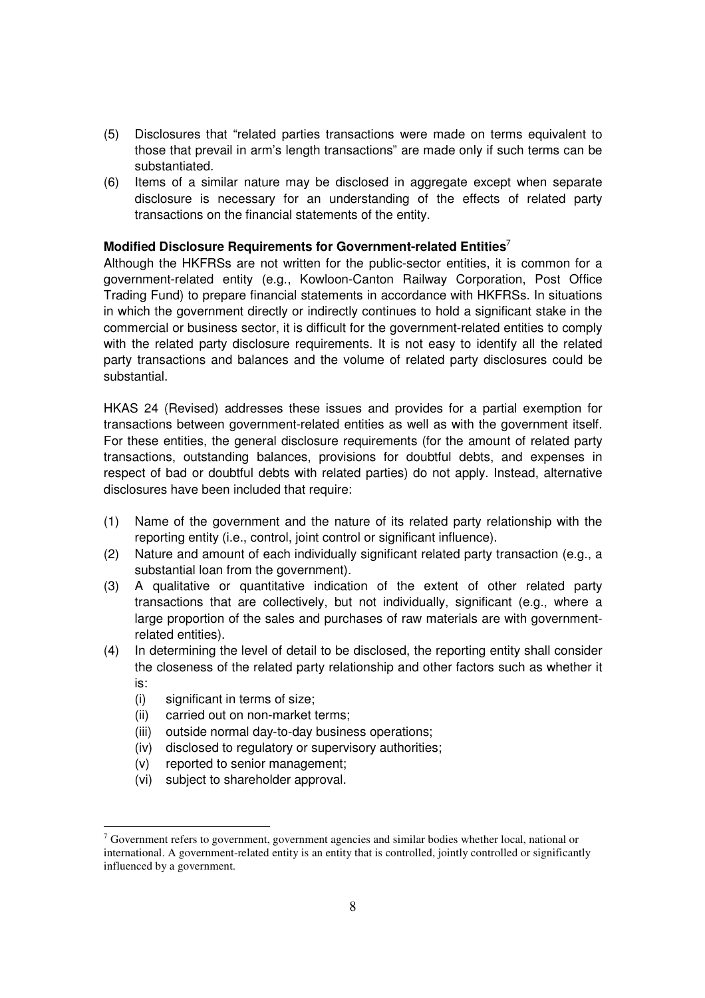- (5) Disclosures that "related parties transactions were made on terms equivalent to those that prevail in arm's length transactions" are made only if such terms can be substantiated.
- (6) Items of a similar nature may be disclosed in aggregate except when separate disclosure is necessary for an understanding of the effects of related party transactions on the financial statements of the entity.

## **Modified Disclosure Requirements for Government-related Entities**<sup>7</sup>

Although the HKFRSs are not written for the public-sector entities, it is common for a government-related entity (e.g., Kowloon-Canton Railway Corporation, Post Office Trading Fund) to prepare financial statements in accordance with HKFRSs. In situations in which the government directly or indirectly continues to hold a significant stake in the commercial or business sector, it is difficult for the government-related entities to comply with the related party disclosure requirements. It is not easy to identify all the related party transactions and balances and the volume of related party disclosures could be substantial.

HKAS 24 (Revised) addresses these issues and provides for a partial exemption for transactions between government-related entities as well as with the government itself. For these entities, the general disclosure requirements (for the amount of related party transactions, outstanding balances, provisions for doubtful debts, and expenses in respect of bad or doubtful debts with related parties) do not apply. Instead, alternative disclosures have been included that require:

- (1) Name of the government and the nature of its related party relationship with the reporting entity (i.e., control, joint control or significant influence).
- (2) Nature and amount of each individually significant related party transaction (e.g., a substantial loan from the government).
- (3) A qualitative or quantitative indication of the extent of other related party transactions that are collectively, but not individually, significant (e.g., where a large proportion of the sales and purchases of raw materials are with governmentrelated entities).
- (4) In determining the level of detail to be disclosed, the reporting entity shall consider the closeness of the related party relationship and other factors such as whether it is:
	- (i) significant in terms of size;
	- (ii) carried out on non-market terms;
	- (iii) outside normal day-to-day business operations;
	- (iv) disclosed to regulatory or supervisory authorities;
	- (v) reported to senior management;
	- (vi) subject to shareholder approval.

l <sup>7</sup> Government refers to government, government agencies and similar bodies whether local, national or international. A government-related entity is an entity that is controlled, jointly controlled or significantly influenced by a government.